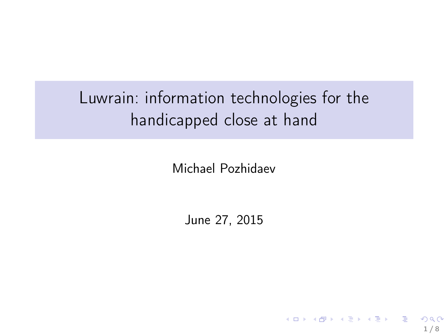## Luwrain: information technologies for the handicapped close at hand

Michael Pozhidaev

June 27, 2015

1 / 8

K ロ ▶ K 레 ▶ K 코 ▶ K 코 ▶ │ 코 │ K 9 Q Q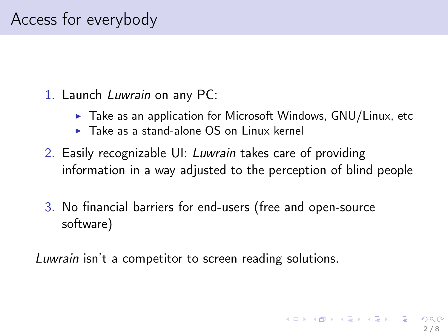- 1. Launch Luwrain on any PC:
	- $\triangleright$  Take as an application for Microsoft Windows, GNU/Linux, etc
	- $\triangleright$  Take as a stand-alone OS on Linux kernel
- 2. Easily recognizable UI: Luwrain takes care of providing information in a way adjusted to the perception of blind people
- 3. No financial barriers for end-users (free and open-source software)

Luwrain isn't a competitor to screen reading solutions.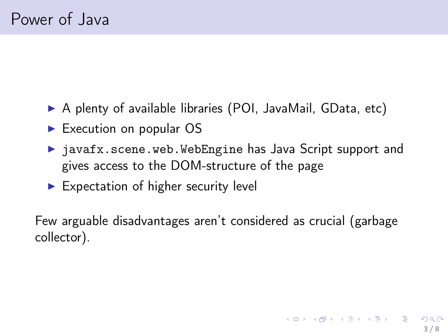- ▶ A plenty of available libraries (POI, JavaMail, GData, etc)
- ► Execution on popular OS
- ▶ javafx.scene.web.WebEngine has Java Script support and gives access to the DOM-structure of the page
- $\blacktriangleright$  Expectation of higher security level

Few arguable disadvantages aren't considered as crucial (garbage collector).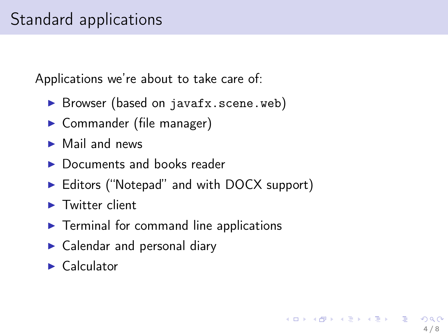## Standard applications

Applications we're about to take care of:

- ▶ Browser (based on javafx.scene.web)
- ► Commander (file manager)
- $\blacktriangleright$  Mail and news
- ▶ Documents and books reader
- ▶ Editors ("Notepad" and with DOCX support)

4 / 8

K ロンバイ (型) 시 (型) 시 (型) 시 (型)

- ▶ Twitter client
- $\blacktriangleright$  Terminal for command line applications
- $\blacktriangleright$  Calendar and personal diary
- ▶ Calculator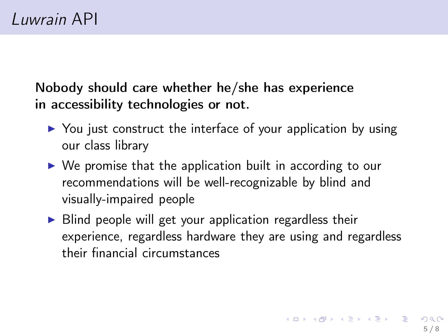Nobody should care whether he/she has experience in accessibility technologies or not.

- ▶ You just construct the interface of your application by using our class library
- $\triangleright$  We promise that the application built in according to our recommendations will be well-recognizable by blind and visually-impaired people
- $\triangleright$  Blind people will get your application regardless their experience, regardless hardware they are using and regardless their financial circumstances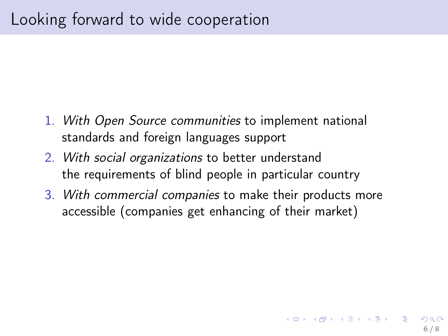- 1. With Open Source communities to implement national standards and foreign languages support
- 2. With social organizations to better understand the requirements of blind people in particular country
- 3. With commercial companies to make their products more accessible (companies get enhancing of their market)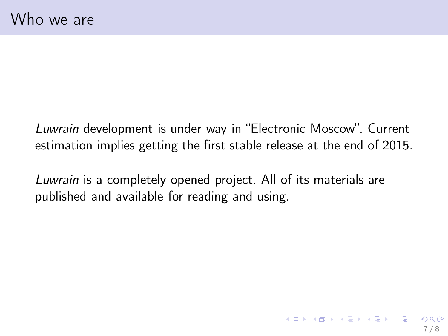Luwrain development is under way in "Electronic Moscow". Current estimation implies getting the first stable release at the end of 2015.

Luwrain is a completely opened project. All of its materials are published and available for reading and using.